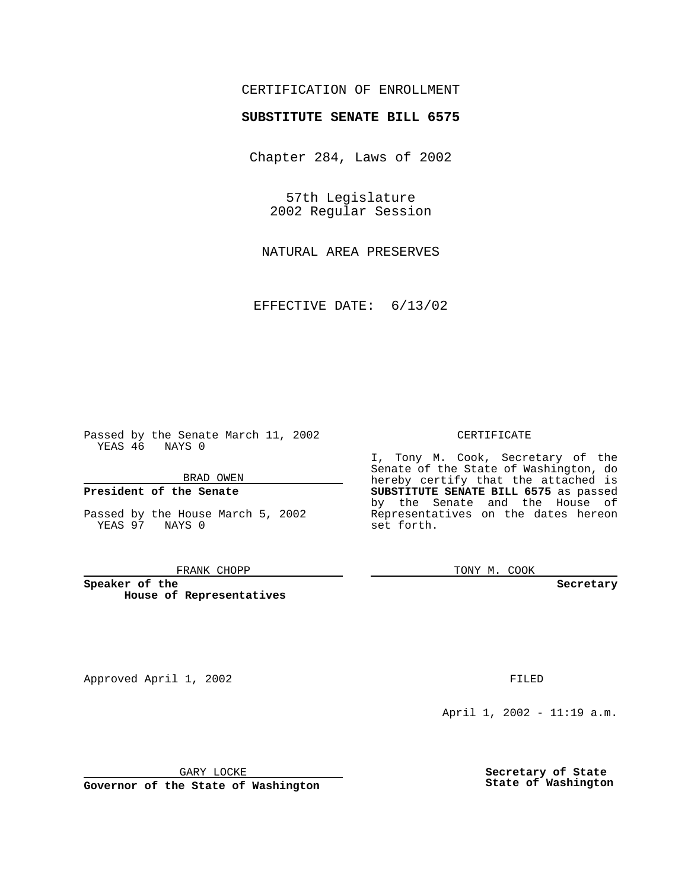## CERTIFICATION OF ENROLLMENT

# **SUBSTITUTE SENATE BILL 6575**

Chapter 284, Laws of 2002

57th Legislature 2002 Regular Session

NATURAL AREA PRESERVES

EFFECTIVE DATE: 6/13/02

Passed by the Senate March 11, 2002 YEAS 46 NAYS 0

BRAD OWEN

### **President of the Senate**

Passed by the House March 5, 2002 YEAS 97 NAYS 0

#### FRANK CHOPP

**Speaker of the House of Representatives**

CERTIFICATE

I, Tony M. Cook, Secretary of the Senate of the State of Washington, do hereby certify that the attached is **SUBSTITUTE SENATE BILL 6575** as passed by the Senate and the House of Representatives on the dates hereon set forth.

TONY M. COOK

**Secretary**

Approved April 1, 2002 **FILED** 

April 1, 2002 - 11:19 a.m.

GARY LOCKE

**Governor of the State of Washington**

**Secretary of State State of Washington**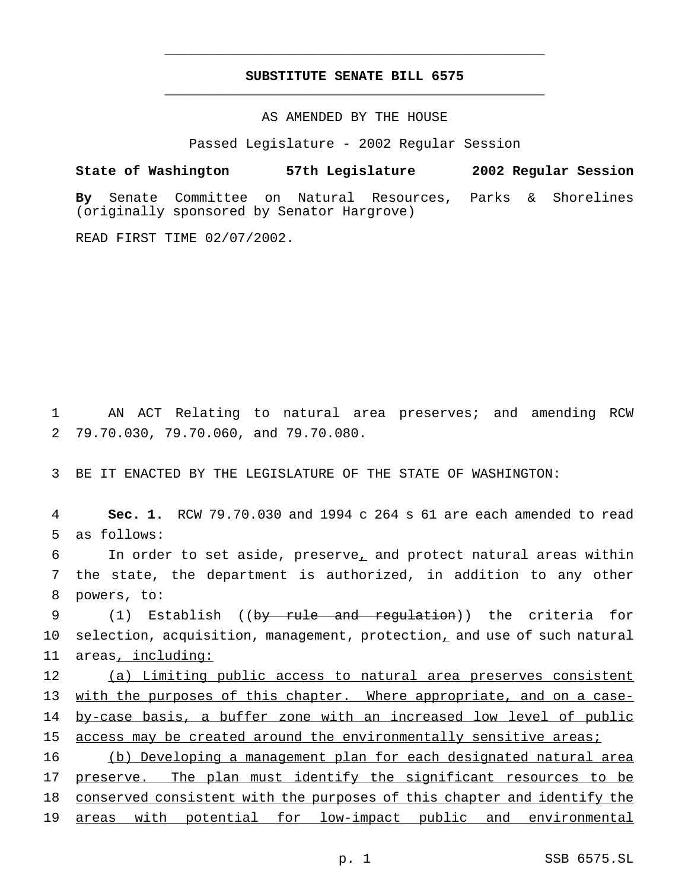## **SUBSTITUTE SENATE BILL 6575** \_\_\_\_\_\_\_\_\_\_\_\_\_\_\_\_\_\_\_\_\_\_\_\_\_\_\_\_\_\_\_\_\_\_\_\_\_\_\_\_\_\_\_\_\_\_\_

\_\_\_\_\_\_\_\_\_\_\_\_\_\_\_\_\_\_\_\_\_\_\_\_\_\_\_\_\_\_\_\_\_\_\_\_\_\_\_\_\_\_\_\_\_\_\_

## AS AMENDED BY THE HOUSE

Passed Legislature - 2002 Regular Session

### **State of Washington 57th Legislature 2002 Regular Session**

**By** Senate Committee on Natural Resources, Parks & Shorelines (originally sponsored by Senator Hargrove)

READ FIRST TIME 02/07/2002.

1 AN ACT Relating to natural area preserves; and amending RCW 2 79.70.030, 79.70.060, and 79.70.080.

3 BE IT ENACTED BY THE LEGISLATURE OF THE STATE OF WASHINGTON:

4 **Sec. 1.** RCW 79.70.030 and 1994 c 264 s 61 are each amended to read 5 as follows:

6 In order to set aside, preserve<sub> $\mu$ </sub> and protect natural areas within 7 the state, the department is authorized, in addition to any other 8 powers, to:

9 (1) Establish ((by rule and regulation)) the criteria for 10 selection, acquisition, management, protection, and use of such natural 11 areas, including:

12 (a) Limiting public access to natural area preserves consistent 13 with the purposes of this chapter. Where appropriate, and on a case-14 by-case basis, a buffer zone with an increased low level of public 15 access may be created around the environmentally sensitive areas;

 (b) Developing a management plan for each designated natural area 17 preserve. The plan must identify the significant resources to be conserved consistent with the purposes of this chapter and identify the areas with potential for low-impact public and environmental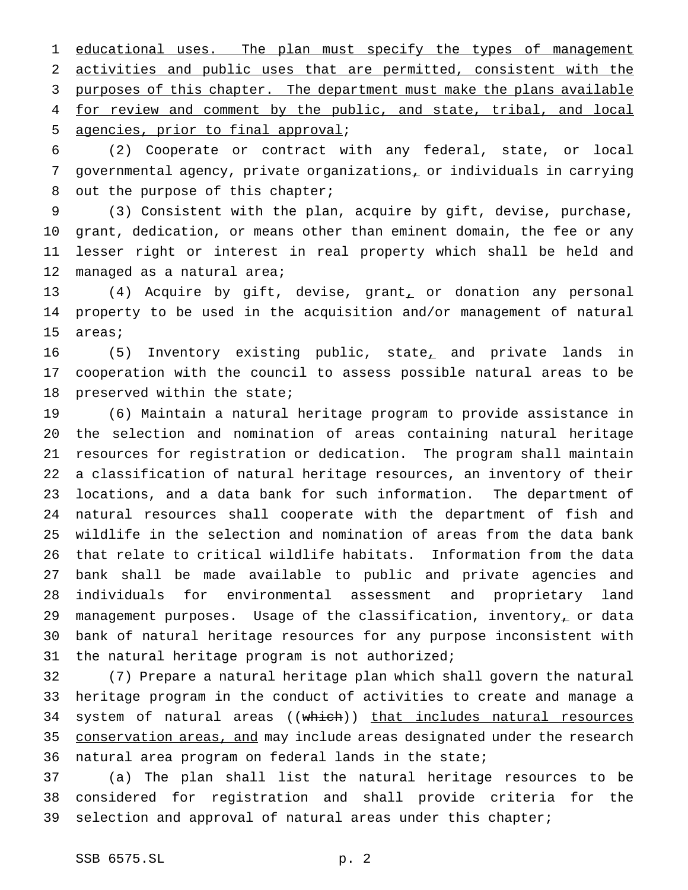1 educational uses. The plan must specify the types of management activities and public uses that are permitted, consistent with the 3 purposes of this chapter. The department must make the plans available 4 for review and comment by the public, and state, tribal, and local agencies, prior to final approval;

 (2) Cooperate or contract with any federal, state, or local governmental agency, private organizations, or individuals in carrying out the purpose of this chapter;

 (3) Consistent with the plan, acquire by gift, devise, purchase, grant, dedication, or means other than eminent domain, the fee or any lesser right or interest in real property which shall be held and 12 managed as a natural area;

13 (4) Acquire by gift, devise, grant, or donation any personal property to be used in the acquisition and/or management of natural areas;

 (5) Inventory existing public, state, and private lands in cooperation with the council to assess possible natural areas to be preserved within the state;

 (6) Maintain a natural heritage program to provide assistance in the selection and nomination of areas containing natural heritage resources for registration or dedication. The program shall maintain a classification of natural heritage resources, an inventory of their locations, and a data bank for such information. The department of natural resources shall cooperate with the department of fish and wildlife in the selection and nomination of areas from the data bank that relate to critical wildlife habitats. Information from the data bank shall be made available to public and private agencies and individuals for environmental assessment and proprietary land 29 management purposes. Usage of the classification, inventory, or data bank of natural heritage resources for any purpose inconsistent with 31 the natural heritage program is not authorized;

 (7) Prepare a natural heritage plan which shall govern the natural heritage program in the conduct of activities to create and manage a 34 system of natural areas ((which)) that includes natural resources 35 conservation areas, and may include areas designated under the research natural area program on federal lands in the state;

 (a) The plan shall list the natural heritage resources to be considered for registration and shall provide criteria for the selection and approval of natural areas under this chapter;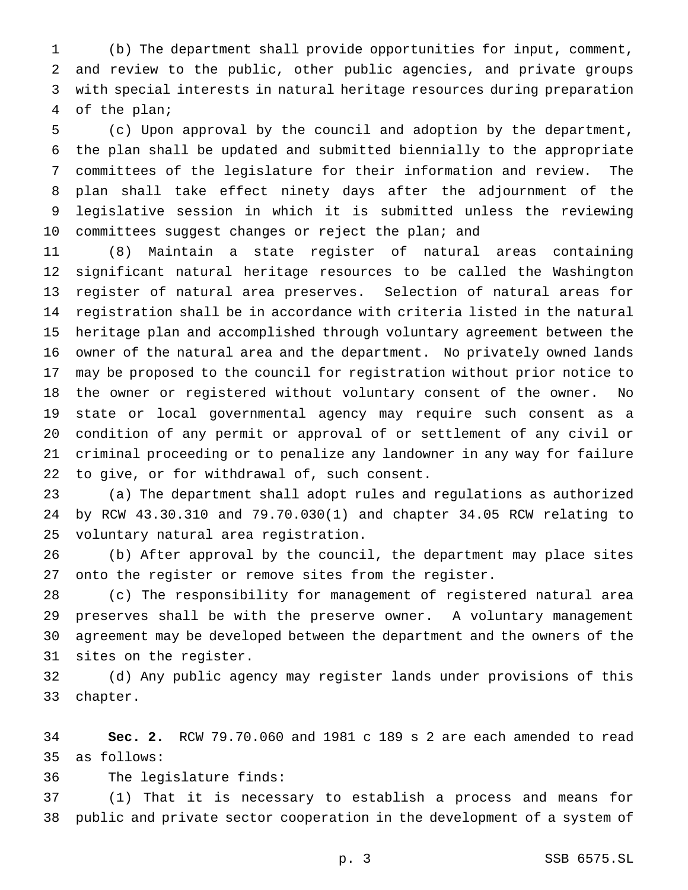(b) The department shall provide opportunities for input, comment, and review to the public, other public agencies, and private groups with special interests in natural heritage resources during preparation of the plan;

 (c) Upon approval by the council and adoption by the department, the plan shall be updated and submitted biennially to the appropriate committees of the legislature for their information and review. The plan shall take effect ninety days after the adjournment of the legislative session in which it is submitted unless the reviewing 10 committees suggest changes or reject the plan; and

 (8) Maintain a state register of natural areas containing significant natural heritage resources to be called the Washington register of natural area preserves. Selection of natural areas for registration shall be in accordance with criteria listed in the natural heritage plan and accomplished through voluntary agreement between the owner of the natural area and the department. No privately owned lands may be proposed to the council for registration without prior notice to the owner or registered without voluntary consent of the owner. No state or local governmental agency may require such consent as a condition of any permit or approval of or settlement of any civil or criminal proceeding or to penalize any landowner in any way for failure to give, or for withdrawal of, such consent.

 (a) The department shall adopt rules and regulations as authorized by RCW 43.30.310 and 79.70.030(1) and chapter 34.05 RCW relating to voluntary natural area registration.

 (b) After approval by the council, the department may place sites onto the register or remove sites from the register.

 (c) The responsibility for management of registered natural area preserves shall be with the preserve owner. A voluntary management agreement may be developed between the department and the owners of the sites on the register.

 (d) Any public agency may register lands under provisions of this chapter.

 **Sec. 2.** RCW 79.70.060 and 1981 c 189 s 2 are each amended to read as follows:

The legislature finds:

 (1) That it is necessary to establish a process and means for public and private sector cooperation in the development of a system of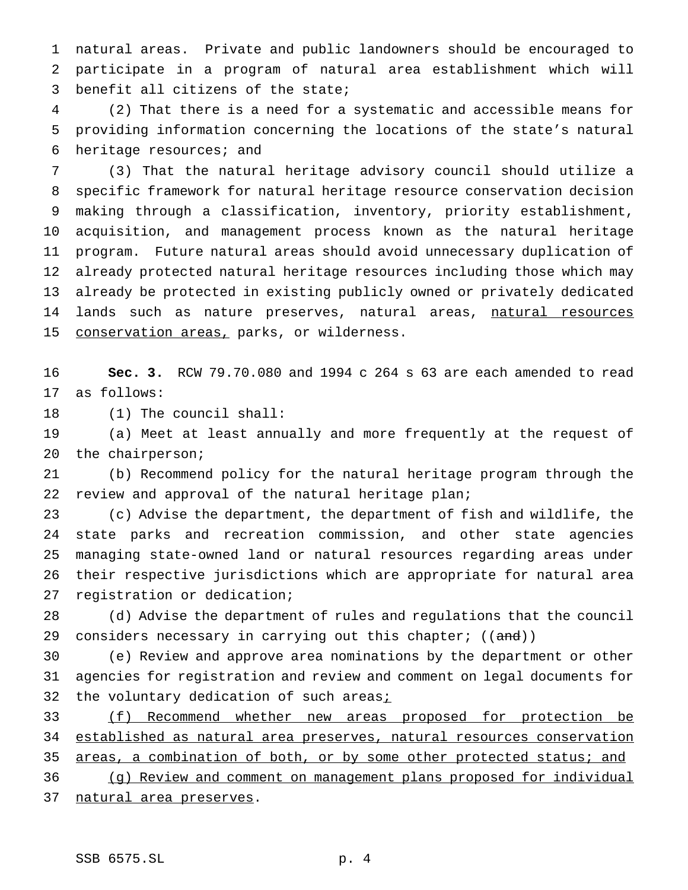natural areas. Private and public landowners should be encouraged to participate in a program of natural area establishment which will benefit all citizens of the state;

 (2) That there is a need for a systematic and accessible means for providing information concerning the locations of the state's natural heritage resources; and

 (3) That the natural heritage advisory council should utilize a specific framework for natural heritage resource conservation decision making through a classification, inventory, priority establishment, acquisition, and management process known as the natural heritage program. Future natural areas should avoid unnecessary duplication of already protected natural heritage resources including those which may already be protected in existing publicly owned or privately dedicated 14 lands such as nature preserves, natural areas, natural resources 15 conservation areas, parks, or wilderness.

 **Sec. 3.** RCW 79.70.080 and 1994 c 264 s 63 are each amended to read as follows:

(1) The council shall:

 (a) Meet at least annually and more frequently at the request of the chairperson;

 (b) Recommend policy for the natural heritage program through the review and approval of the natural heritage plan;

 (c) Advise the department, the department of fish and wildlife, the state parks and recreation commission, and other state agencies managing state-owned land or natural resources regarding areas under their respective jurisdictions which are appropriate for natural area registration or dedication;

 (d) Advise the department of rules and regulations that the council 29 considers necessary in carrying out this chapter; ((and))

 (e) Review and approve area nominations by the department or other agencies for registration and review and comment on legal documents for 32 the voluntary dedication of such areas<sub>i</sub>

 (f) Recommend whether new areas proposed for protection be established as natural area preserves, natural resources conservation 35 areas, a combination of both, or by some other protected status; and (g) Review and comment on management plans proposed for individual

natural area preserves.